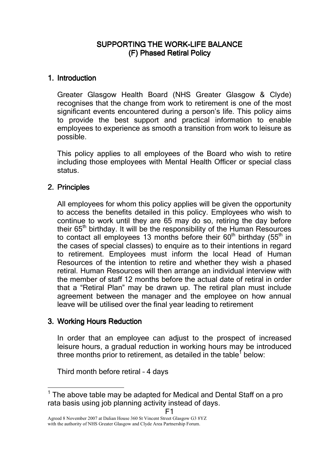# SUPPORTING THE WORK-LIFE BALANCE (F) Phased Retiral Policy

### 1. Introduction

Greater Glasgow Health Board (NHS Greater Glasgow & Clyde) recognises that the change from work to retirement is one of the most significant events encountered during a person's life. This policy aims to provide the best support and practical information to enable employees to experience as smooth a transition from work to leisure as possible.

This policy applies to all employees of the Board who wish to retire including those employees with Mental Health Officer or special class status.

## 2. Principles

All employees for whom this policy applies will be given the opportunity to access the benefits detailed in this policy. Employees who wish to continue to work until they are 65 may do so, retiring the day before their 65<sup>th</sup> birthday. It will be the responsibility of the Human Resources to contact all employees 13 months before their  $60<sup>th</sup>$  birthday ( $55<sup>th</sup>$  in the cases of special classes) to enquire as to their intentions in regard to retirement. Employees must inform the local Head of Human Resources of the intention to retire and whether they wish a phased retiral. Human Resources will then arrange an individual interview with the member of staff 12 months before the actual date of retiral in order that a "Retiral Plan" may be drawn up. The retiral plan must include agreement between the manager and the employee on how annual leave will be utilised over the final year leading to retirement

## 3. Working Hours Reduction

-

In order that an employee can adjust to the prospect of increased leisure hours, a gradual reduction in working hours may be introduced three months prior to retirement, as detailed in the table<sup>1</sup> below:

Third month before retiral – 4 days

F1

 $1$  The above table may be adapted for Medical and Dental Staff on a pro rata basis using job planning activity instead of days.

Agreed 8 November 2007 at Dalian House 360 St Vincent Street Glasgow G3 8YZ with the authority of NHS Greater Glasgow and Clyde Area Partnership Forum.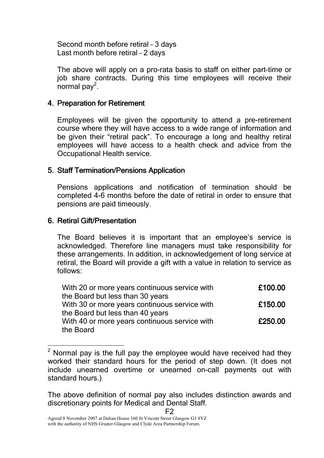Second month before retiral – 3 days Last month before retiral – 2 days

The above will apply on a pro-rata basis to staff on either part-time or job share contracts. During this time employees will receive their normal pay<sup>2</sup>.

# 4. Preparation for Retirement

Employees will be given the opportunity to attend a pre-retirement course where they will have access to a wide range of information and be given their "retiral pack". To encourage a long and healthy retiral employees will have access to a health check and advice from the Occupational Health service.

## 5. Staff Termination/Pensions Application

Pensions applications and notification of termination should be completed 4-6 months before the date of retiral in order to ensure that pensions are paid timeously.

# 6. Retiral Gift/Presentation

 $\overline{\phantom{a}}$ 

The Board believes it is important that an employee's service is acknowledged. Therefore line managers must take responsibility for these arrangements. In addition, in acknowledgement of long service at retiral, the Board will provide a gift with a value in relation to service as follows:

| With 20 or more years continuous service with | £100.00 |
|-----------------------------------------------|---------|
| the Board but less than 30 years              |         |
| With 30 or more years continuous service with | £150.00 |
| the Board but less than 40 years              |         |
| With 40 or more years continuous service with | £250.00 |
| the Board                                     |         |

 $2$  Normal pay is the full pay the employee would have received had they worked their standard hours for the period of step down. (It does not include unearned overtime or unearned on-call payments out with standard hours.)

F2

The above definition of normal pay also includes distinction awards and discretionary points for Medical and Dental Staff.